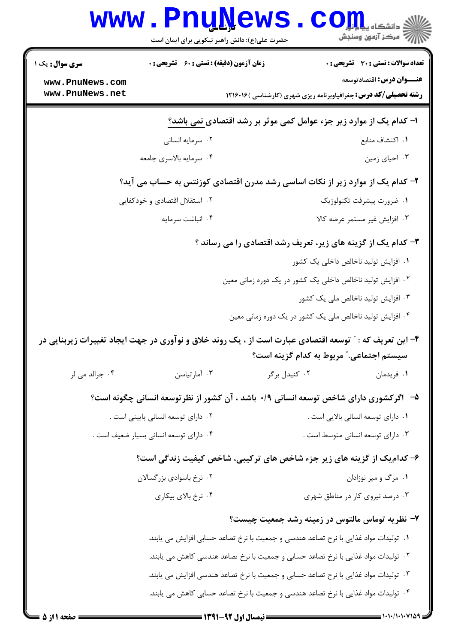|                                                                       | www.PnuNews<br>حضرت علی(ع): دانش راهبر نیکویی برای ایمان است                                            |                                                                                       | ي<br>چ دانشڪاه پيام لو <mark>ل</mark><br>ے<br>اس مرکز آزمون وسنجش                                           |
|-----------------------------------------------------------------------|---------------------------------------------------------------------------------------------------------|---------------------------------------------------------------------------------------|-------------------------------------------------------------------------------------------------------------|
| <b>سری سوال :</b> یک ۱                                                | زمان آزمون (دقیقه) : تستی : 60 قشریحی : 0                                                               |                                                                                       | <b>تعداد سوالات : تستی : 30 - تشریحی : 0</b>                                                                |
| www.PnuNews.com<br>www.PnuNews.net                                    |                                                                                                         |                                                                                       | <b>عنـــوان درس:</b> اقتصادتوسعه<br><b>رشته تحصیلی/کد درس:</b> جغرافیاوبرنامه ریزی شهری (کارشناسی ) ۱۲۱۶۰۱۶ |
|                                                                       |                                                                                                         |                                                                                       |                                                                                                             |
|                                                                       | ا- کدام یک از موارد زیر جزء عوامل کمی موثر بر رشد اقتصادی <u>نمی</u> باشد؟                              |                                                                                       |                                                                                                             |
|                                                                       | ۰۲ سرمایه انسانی                                                                                        |                                                                                       | ٠١. اكتشاف منابع                                                                                            |
|                                                                       | ۰۴ سرمايه بالاسرى جامعه                                                                                 |                                                                                       | ۰۳ احیای زمین                                                                                               |
|                                                                       | ۲- کدام یک از موارد زیر از نکات اساسی رشد مدرن اقتصادی کوزنتس به حساب می آید؟                           |                                                                                       |                                                                                                             |
|                                                                       | ۰۲ استقلال اقتصادی و خودکفایی                                                                           |                                                                                       | ٠١ ضرورت پيشرفت تكنولوژيك                                                                                   |
|                                                                       | ۰۴ انباشت سرمايه                                                                                        |                                                                                       | ۰۳ افزایش غیر مستمر عرضه کالا                                                                               |
|                                                                       |                                                                                                         |                                                                                       | ۳- کدام یک از گزینه های زیر، تعریف رشد اقتصادی را می رساند ؟                                                |
|                                                                       |                                                                                                         |                                                                                       | ۰۱ افزایش تولید ناخالص داخلی یک کشور                                                                        |
|                                                                       |                                                                                                         | ۰۲ افزایش تولید ناخالص داخلی یک کشور در یک دوره زمانی معین                            |                                                                                                             |
|                                                                       |                                                                                                         |                                                                                       | ۰۳ افزایش تولید ناخالص ملی یک کشور                                                                          |
|                                                                       |                                                                                                         | ۰۴ افزایش تولید ناخالص ملی یک کشور در یک دوره زمانی معین                              |                                                                                                             |
|                                                                       | ۴- این تعریف که : " توسعه اقتصادی عبارت است از ، یک روند خلاق و نوآوری در جهت ایجاد تغییرات زیربنایی در |                                                                                       | سیستم اجتماعی." مربوط به کدام گزینه است؟                                                                    |
| ۰۴ جرالد می لر                                                        | ۰۳ آمارتياسن                                                                                            | ۰۲ کنیدل برگر                                                                         | ۰۱ فریدمان                                                                                                  |
|                                                                       | ۵–۔ اگرکشوری دارای شاخص توسعه انسانی ۰/۹ باشد ، آن کشور از نظرتوسعه انسانی چگونه است؟                   |                                                                                       |                                                                                                             |
|                                                                       | ۰۲ دارای توسعه انسانی پایینی است .                                                                      |                                                                                       | ٠١ داراي توسعه انساني بالايي است .                                                                          |
|                                                                       | ۰۴ دارای توسعه انسانی بسیار ضعیف است .                                                                  |                                                                                       | ۰۳ دارای توسعه انسانی متوسط است .                                                                           |
| ۶- کدامیک از گزینه های زیر جزء شاخص های ترکیبی، شاخص کیفیت زندگی است؟ |                                                                                                         |                                                                                       |                                                                                                             |
|                                                                       | ۰۲ نرخ باسوادي بزرگسالان                                                                                |                                                                                       | ۰۱ مرگ و میر نوزادان                                                                                        |
|                                                                       | ۰۴ نرخ بالای بیکاری                                                                                     |                                                                                       | ۰۳ درصد نیروی کار در مناطق شهری                                                                             |
|                                                                       |                                                                                                         |                                                                                       | ۷- نظریه توماس مالتوس در زمینه رشد جمعیت چیست؟                                                              |
|                                                                       |                                                                                                         | ١.  توليدات مواد غذايي با نرخ تصاعد هندسي و جمعيت با نرخ تصاعد حسابي افزايش مي يابند. |                                                                                                             |
|                                                                       |                                                                                                         | ۰۲ تولیدات مواد غذایی با نرخ تصاعد حسابی و جمعیت با نرخ تصاعد هندسی کاهش می یابند.    |                                                                                                             |
|                                                                       |                                                                                                         | ۰۳ تولیدات مواد غذایی با نرخ تصاعد حسابی و جمعیت با نرخ تصاعد هندسی افزایش می یابند.  |                                                                                                             |
|                                                                       |                                                                                                         | ۰۴ تولیدات مواد غذایی با نرخ تصاعد هندسی و جمعیت با نرخ تصاعد حسابی کاهش می یابند.    |                                                                                                             |

 $= 1.1 - 11.1 - 110$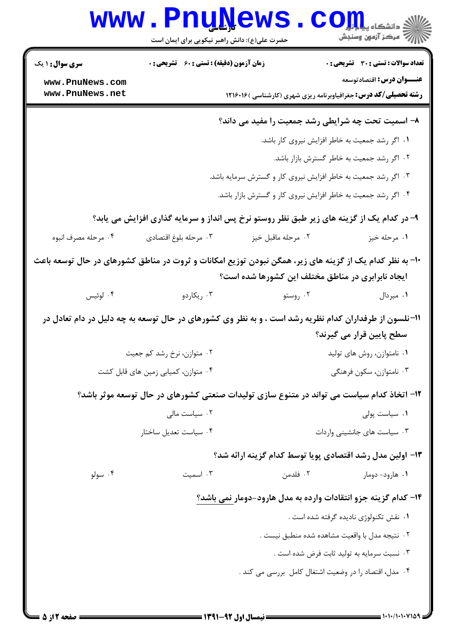| WWW.                               | <b>Pnunews</b><br>حضرت علی(ع): دانش راهبر نیکویی برای ایمان است |                                                                                                                                                              | ≦ دانشکاه پ <b>یا با تور</b><br>ر آمرڪز آزمون وسنڊش |
|------------------------------------|-----------------------------------------------------------------|--------------------------------------------------------------------------------------------------------------------------------------------------------------|-----------------------------------------------------|
| <b>سری سوال : ۱ یک</b>             | <b>زمان آزمون (دقیقه) : تستی : 60 ٪ تشریحی : 0</b>              |                                                                                                                                                              | <b>تعداد سوالات : تستی : 30 ٪ تشریحی : 0</b>        |
| www.PnuNews.com<br>www.PnuNews.net |                                                                 |                                                                                                                                                              | عنـــوان درس: اقتصادتوسعه                           |
|                                    |                                                                 | <b>رشته تحصیلی/کد درس:</b> جغرافیاوبرنامه ریزی شهری (کارشناسی ) ۱۲۱۶۰۱۶                                                                                      |                                                     |
|                                    |                                                                 | ۸- اسمیت تحت چه شرایطی رشد جمعیت را مفید می داند؟                                                                                                            |                                                     |
|                                    |                                                                 | ٠١ اگر رشد جمعيت به خاطر افزايش نيروي كار باشد.                                                                                                              |                                                     |
|                                    | ۰۲ اگر رشد جمعیت به خاطر گسترش بازار باشد.                      |                                                                                                                                                              |                                                     |
|                                    | ۰۳ اگر رشد جمعیت به خاطر افزایش نیروی کار و گسترش سرمایه باشد.  |                                                                                                                                                              |                                                     |
|                                    |                                                                 | ۰۴ اگر رشد جمعیت به خاطر افزایش نیروی کار و گسترش بازار باشد.                                                                                                |                                                     |
|                                    |                                                                 | ۹- در کدام یک از گزینه های زیر طبق نظر روستو نرخ پس انداز و سرمایه گذاری افزایش می یابد؟                                                                     |                                                     |
| ۰۴ مرحله مصرف انبوه                | ٠٣ مرحله بلوغ اقتصادي                                           | ۰۲ مرحله ماقبل خيز                                                                                                                                           | ۰۱ مرحله خيز                                        |
|                                    |                                                                 | +۱- به نظر کدام یک از گزینه های زیر، همگن نبودن توزیع امکانات و ثروت در مناطق کشورهای در حال توسعه باعث<br>ایجاد نابرابری در مناطق مختلف این کشورها شده است؟ |                                                     |
| ۰۴ لوئيس                           | ۰۳ ریکاردو                                                      | ۰۲ روستو                                                                                                                                                     | ۰۱ میردال                                           |
|                                    |                                                                 | 1۱-نلسون از طرفداران کدام نظریه رشد است ، و به نظر وی کشورهای در حال توسعه به چه دلیل در دام تعادل در                                                        |                                                     |
|                                    |                                                                 |                                                                                                                                                              | سطح پایین قرار می گیرند؟                            |
|                                    | ۰۲ متوازن، نرخ رشد کم جعیت                                      |                                                                                                                                                              | ۰۱ نامتوازن، روش های تولید                          |
|                                    | ۰۴ متوازن، کمیابی زمین های قابل کشت                             |                                                                                                                                                              | ۰۳ نامتوازن، سکون فرهنگی                            |
|                                    |                                                                 | ۱۲– اتخاذ کدام سیاست می تواند در متنوع سازی تولیدات صنعتی کشورهای در حال توسعه موثر باشد؟                                                                    |                                                     |
|                                    | ۰۲ سیاست مالی                                                   |                                                                                                                                                              | ۰۱ سیاست پولی                                       |
|                                    | ۰۴ سیاست تعدیل ساختار                                           |                                                                                                                                                              | ۰۳ سیاست های جانشینی واردات                         |
|                                    |                                                                 | ۱۳- اولین مدل رشد اقتصادی پویا توسط کدام گزینه ارائه شد؟                                                                                                     |                                                     |
| ۰۴ سولو                            | ۰۳ اسمیت                                                        | ۰۲ فلدمن                                                                                                                                                     | ۰۱ هارود- دومار                                     |
|                                    |                                                                 | ۱۴– کدام گزینه جزو انتقادات وارده به مدل هارود-دومار نمی باشد؟                                                                                               |                                                     |
|                                    |                                                                 |                                                                                                                                                              | ۰۱ نقش تکنولوژی نادیده گرفته شده است .              |
|                                    |                                                                 | ٠٢ نتيجه مدل با واقعيت مشاهده شده منطبق نيست .                                                                                                               |                                                     |
|                                    |                                                                 |                                                                                                                                                              | ۰۳ نسبت سرمایه به تولید ثابت فرض شده است .          |
|                                    |                                                                 | ۰۴ مدل، اقتصاد را در وضعیت اشتغال کامل بررسی می کند .                                                                                                        |                                                     |
|                                    |                                                                 |                                                                                                                                                              |                                                     |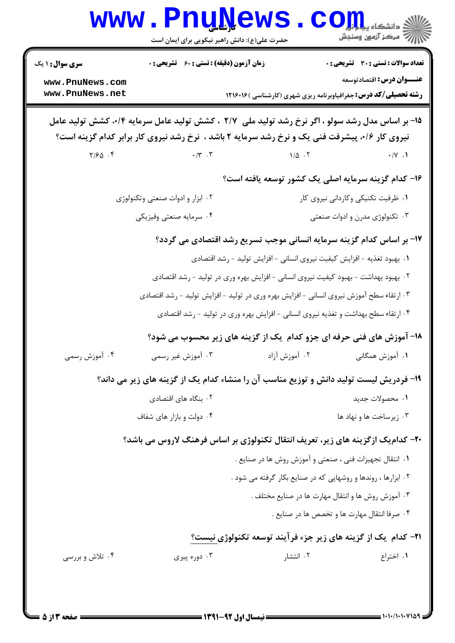| <b>WWW</b>                                                                                                                                                                                         | <b>Fuñïše</b><br>حضرت علی(ع): دانش راهبر نیکویی برای ایمان است               |                                                                                          | ≦ دانشکاه پی <mark>ا ب</mark> و <mark>ر</mark><br>سنجز آزمون وسنجش                                                                                  |
|----------------------------------------------------------------------------------------------------------------------------------------------------------------------------------------------------|------------------------------------------------------------------------------|------------------------------------------------------------------------------------------|-----------------------------------------------------------------------------------------------------------------------------------------------------|
| <b>سری سوال : ۱ یک</b><br>www.PnuNews.com<br>www.PnuNews.net                                                                                                                                       | <b>زمان آزمون (دقیقه) : تستی : 60 ٪ تشریحی : 0</b>                           |                                                                                          | <b>تعداد سوالات : تستی : 30 ٪ تشریحی : 0</b><br>عنـــوان درس: اقتصادتوسعه<br><b>رشته تحصیلی/کد درس:</b> جغرافیاوبرنامه ریزی شهری (کارشناسی )۱۲۱۶۰۱۶ |
| ۱۵- بر اساس مدل رشد سولو ، اگر نرخ رشد تولید ملی ۲/۷ ، کشش تولید عامل سرمایه ۰/۴، کشش تولید عامل<br>نیروی کار ۰/۶، پیشرفت فنی یک و نرخ رشد سرمایه ۲ باشد ، نرخ رشد نیروی کار برابر کدام گزینه است؟ |                                                                              |                                                                                          |                                                                                                                                                     |
| $Y/\mathcal{F}\Delta$ .                                                                                                                                                                            | $\boldsymbol{\cdot} \,/\boldsymbol{\curlyvee} \,$ . $\boldsymbol{\curlyvee}$ | $1/\Delta$ .                                                                             | $\cdot/\Upsilon$ .                                                                                                                                  |
|                                                                                                                                                                                                    |                                                                              |                                                                                          | ۱۶– کدام گزینه سرمایه اصلی یک کشور توسعه یافته است؟                                                                                                 |
|                                                                                                                                                                                                    | ۰۲ ابزار و ادوات صنعتی وتکنولوژی                                             |                                                                                          | ۰۱ ظرفیت تکنیکی وکاردانی نیروی کار                                                                                                                  |
|                                                                                                                                                                                                    | ۰۴ سرمايه صنعتي وفيزيكي                                                      |                                                                                          | ۰۳ تکنولوژی مدرن و ادوات صنعتی                                                                                                                      |
|                                                                                                                                                                                                    |                                                                              |                                                                                          | ۱۷- بر اساس کدام گزینه سرمایه انسانی موجب تسریع رشد اقتصادی می گردد؟                                                                                |
|                                                                                                                                                                                                    |                                                                              | ١. بهبود تغذيه - افزايش كيفيت نيروى انسانى - افزايش توليد - رشد اقتصادى                  |                                                                                                                                                     |
| ۰۲ بهبود بهداشت - بهبود کیفیت نیروی انسانی - افزایش بهره وری در تولید - رشد اقتصادی                                                                                                                |                                                                              |                                                                                          |                                                                                                                                                     |
|                                                                                                                                                                                                    |                                                                              | ۰۳ ارتقاء سطح آموزش نیروی انسانی – افزایش بهره وری در تولید – افزایش تولید – رشد اقتصادی |                                                                                                                                                     |
|                                                                                                                                                                                                    |                                                                              | ۰۴ ارتقاء سطح بهداشت و تغذیه نیروی انسانی - افزایش بهره وری در تولید - رشد اقتصادی       |                                                                                                                                                     |
|                                                                                                                                                                                                    |                                                                              |                                                                                          | ۱۸- آموزش های فنی حرفه ای جزو کدام یک از گزینه های زیر محسوب می شود؟                                                                                |
| ۰۴ آموزش رسمی                                                                                                                                                                                      | ۰۳ آموزش غیر رسمی                                                            | ۰۲ آموزش آزاد                                                                            | ۱. آموزش همگانی                                                                                                                                     |
|                                                                                                                                                                                                    |                                                                              |                                                                                          | ۱۹- فردریش لیست تولید دانش و توزیع مناسب آن را منشاء کدام یک از گزینه های زیر می داند؟                                                              |
|                                                                                                                                                                                                    | ۰۲ بنگاه های اقتصادی                                                         |                                                                                          | ١. محصولات جديد                                                                                                                                     |
|                                                                                                                                                                                                    | ۰۴ دولت و بازار های شفاف                                                     |                                                                                          | ۰۳ زیرساخت ها و نهاد ها                                                                                                                             |
| ۲۰– کدام یک ازگزینه های زیر، تعریف انتقال تکنولوژی بر اساس فرهنگ لاروس می باشد؟                                                                                                                    |                                                                              |                                                                                          |                                                                                                                                                     |
|                                                                                                                                                                                                    |                                                                              |                                                                                          | ٠١ انتقال تجهيزات فني ، صنعتي و آموزش روش ها در صنايع .                                                                                             |
|                                                                                                                                                                                                    |                                                                              |                                                                                          | ۰۲ ابزارها ، روندها و روشهایی که در صنایع بکار گرفته می شود .                                                                                       |
|                                                                                                                                                                                                    |                                                                              |                                                                                          | ۰۳ آموزش روش ها و انتقال مهارت ها در صنایع مختلف .                                                                                                  |
|                                                                                                                                                                                                    |                                                                              |                                                                                          | ۰۴ صرفا انتقال مهارت ها و تخصص ها در صنایع .                                                                                                        |
|                                                                                                                                                                                                    |                                                                              |                                                                                          | <b>۲۱- کدام یک از گزینه های زیر جزء فرآیند توسعه تکنولوژی نیست</b> ؟                                                                                |
| ۰۴ تلاش و بررسی                                                                                                                                                                                    | ۰۳ دوره پیری                                                                 | ۰۲ انتشار                                                                                | ٠١. اختراع                                                                                                                                          |
|                                                                                                                                                                                                    |                                                                              |                                                                                          |                                                                                                                                                     |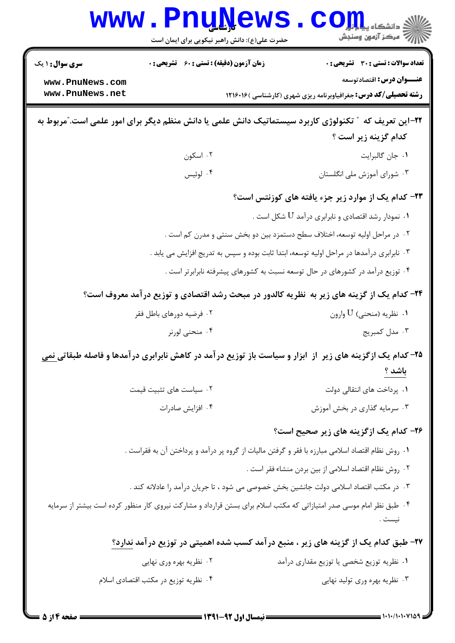| <b>WWW</b>                                                   | <u>LTIÑÑAMP</u><br>حضرت علی(ع): دانش راهبر نیکویی برای ایمان است                                                                           | ي دانشڪا ه پ <b>يا با با<mark>ر</mark></b><br>رِ آھرڪز آزمون وسنڊش                                                                                   |  |  |
|--------------------------------------------------------------|--------------------------------------------------------------------------------------------------------------------------------------------|------------------------------------------------------------------------------------------------------------------------------------------------------|--|--|
| <b>سری سوال : ۱ یک</b><br>www.PnuNews.com<br>www.PnuNews.net | <b>زمان آزمون (دقیقه) : تستی : 60 ٪ تشریحی : 0</b>                                                                                         | <b>تعداد سوالات : تستی : 30 ٪ تشریحی : 0</b><br>عنـــوان درس: اقتصادتوسعه<br><b>رشته تحصیلی/کد درس:</b> جغرافیاوبرنامه ریزی شهری (کارشناسی ) ۱۲۱۶۰۱۶ |  |  |
|                                                              | ۲۲–این تعریف که ″ تکنولوژی کاربرد سیستماتیک دانش علمی یا دانش منظم دیگر برای امور علمی است."مربوط به                                       | كدام گزينه زير است ؟                                                                                                                                 |  |  |
|                                                              | ۰۲ اسکون                                                                                                                                   | ۰۱ جان گالبرایت                                                                                                                                      |  |  |
|                                                              | ۰۴ لوئيس                                                                                                                                   | ۰۳ شورای آموزش ملی انگلستان                                                                                                                          |  |  |
|                                                              |                                                                                                                                            | ۲۳- کدام یک از موارد زیر جزء یافته های کوزنتس است؟                                                                                                   |  |  |
|                                                              |                                                                                                                                            | ۰۱ نمودار رشد اقتصادی و نابرابری درآمد ${\rm U}$ شکل است . $\,$                                                                                      |  |  |
|                                                              | ۰۲ در مراحل اولیه توسعه، اختلاف سطح دستمزد بین دو بخش سنتی و مدرن کم است .                                                                 |                                                                                                                                                      |  |  |
|                                                              | ۰۳ نابرابری درآمدها در مراحل اولیه توسعه، ابتدا ثابت بوده و سپس به تدریج افزایش می یابد .                                                  |                                                                                                                                                      |  |  |
|                                                              | ۰۴ توزیع درآمد در کشورهای در حال توسعه نسبت به کشورهای پیشرفته نابرابرتر است .                                                             |                                                                                                                                                      |  |  |
|                                                              | ۲۴– کدام یک از گزینه های زیر به نظریه کالدور در مبحث رشد اقتصادی و توزیع درآمد معروف است؟                                                  |                                                                                                                                                      |  |  |
|                                                              | ۰۲ فرضیه دورهای باطل فقر                                                                                                                   | ۰۱ نظریه (منحنی) U وارون                                                                                                                             |  |  |
|                                                              | ۰۴ منحنی لورنر                                                                                                                             | ۰۳ مدل کمبریج                                                                                                                                        |  |  |
|                                                              | <b>۳۵</b> – کدام یک ازگزینه های زیر ًاز ابزار و سیاست باز توزیع درآمد در کاهش نابرابری درآمدها و فاصله طبقات <u>ی نمی</u><br><u>باشد ؟</u> |                                                                                                                                                      |  |  |
|                                                              | ۰۲ سیاست های تثبیت قیمت                                                                                                                    | ۰۱ پرداخت های انتقالی دولت                                                                                                                           |  |  |
|                                                              | ۰۴ افزايش صادرات                                                                                                                           | ۰۳ سرمایه گذاری در بخش آموزش                                                                                                                         |  |  |
|                                                              |                                                                                                                                            | ۲۶- کدام یک ازگزینه های زیر صحیح است؟                                                                                                                |  |  |
|                                                              | ۰۱ روش نظام اقتصاد اسلامی مبارزه با فقر و گرفتن مالیات از گروه پر درآمد و پرداختن آن به فقراست .                                           |                                                                                                                                                      |  |  |
|                                                              |                                                                                                                                            | ٠٢ روش نظام اقتصاد اسلامي از بين بردن منشاء فقر است .                                                                                                |  |  |
|                                                              | ۰۳ در مکتب اقتصاد اسلامی دولت جانشین بخش خصوصی می شود ، تا جریان درآمد را عادلانه کند .                                                    |                                                                                                                                                      |  |  |
|                                                              | ۰۴ طبق نظر امام موسی صدر امتیازاتی که مکتب اسلام برای بستن قرارداد و مشارکت نیروی کار منظور کرده است بیشتر از سرمایه                       | نيست .                                                                                                                                               |  |  |
|                                                              | ۲۷- طبق کدام یک از گزینه های زیر ، منبع درآمد کسب شده اهمیتی در توزیع درآمد ندارد؟                                                         |                                                                                                                                                      |  |  |
|                                                              | ۰۲ نظریه بهره وری نهایی                                                                                                                    | ۰۱ نظریه توزیع شخصی یا توزیع مقداری درآمد                                                                                                            |  |  |
|                                                              | ۰۴ نظریه توزیع در مکتب اقتصادی اسلام                                                                                                       | ۰۳ نظریه بهره وری تولید نهایی                                                                                                                        |  |  |